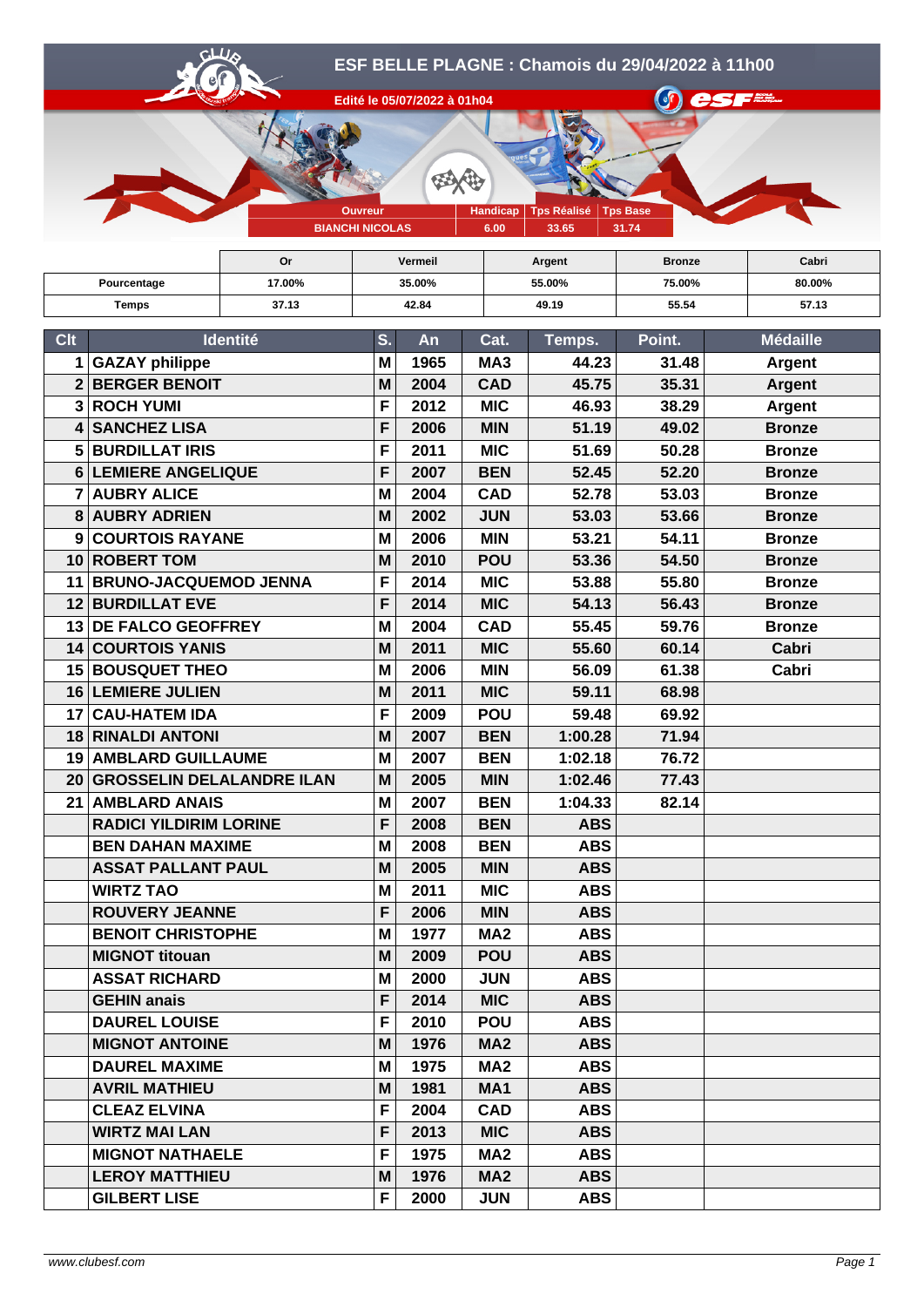

**Or Vermeil Argent Bronze Cabri**

| Pourcentage  |                                  | 17.00% | 35.00% |                |                 | 55.00%     | 75.00% | 80.00%          |
|--------------|----------------------------------|--------|--------|----------------|-----------------|------------|--------|-----------------|
|              | 37.13<br><b>Temps</b>            |        |        | 42.84<br>49.19 |                 | 55.54      | 57.13  |                 |
| <b>Clt</b>   | Identité                         |        | S.     | An             | Cat.            | Temps.     | Point. | <b>Médaille</b> |
| $\mathbf 1$  | <b>GAZAY philippe</b>            |        | M      | 1965           | MA3             | 44.23      | 31.48  | <b>Argent</b>   |
| $\mathbf{2}$ | <b>BERGER BENOIT</b>             |        | M      | 2004           | <b>CAD</b>      | 45.75      | 35.31  | <b>Argent</b>   |
| 3            | <b>ROCH YUMI</b>                 |        | F      | 2012           | <b>MIC</b>      | 46.93      | 38.29  | <b>Argent</b>   |
| 4            | <b>SANCHEZ LISA</b>              |        | F      | 2006           | <b>MIN</b>      | 51.19      | 49.02  | <b>Bronze</b>   |
| 5            | <b>BURDILLAT IRIS</b>            |        | F      | 2011           | <b>MIC</b>      | 51.69      | 50.28  | <b>Bronze</b>   |
|              | 6 LEMIERE ANGELIQUE              |        | F      | 2007           | <b>BEN</b>      | 52.45      | 52.20  | <b>Bronze</b>   |
|              | <b>7 AUBRY ALICE</b>             |        | M      | 2004           | <b>CAD</b>      | 52.78      | 53.03  | <b>Bronze</b>   |
| 8            | <b>AUBRY ADRIEN</b>              |        | M      | 2002           | <b>JUN</b>      | 53.03      | 53.66  | <b>Bronze</b>   |
| 9            | <b>COURTOIS RAYANE</b>           |        | M      | 2006           | <b>MIN</b>      | 53.21      | 54.11  | <b>Bronze</b>   |
|              | 10 ROBERT TOM                    |        | M      | 2010           | <b>POU</b>      | 53.36      | 54.50  | <b>Bronze</b>   |
| 11           | <b>BRUNO-JACQUEMOD JENNA</b>     |        | F      | 2014           | <b>MIC</b>      | 53.88      | 55.80  | <b>Bronze</b>   |
|              | <b>12 BURDILLAT EVE</b>          |        | F      | 2014           | <b>MIC</b>      | 54.13      | 56.43  | <b>Bronze</b>   |
|              | 13 DE FALCO GEOFFREY             |        | M      | 2004           | <b>CAD</b>      | 55.45      | 59.76  | <b>Bronze</b>   |
| 14           | <b>COURTOIS YANIS</b>            |        | M      | 2011           | <b>MIC</b>      | 55.60      | 60.14  | Cabri           |
| 15           | <b>BOUSQUET THEO</b>             |        | M      | 2006           | <b>MIN</b>      | 56.09      | 61.38  | Cabri           |
|              | 16 LEMIERE JULIEN                |        | M      | 2011           | <b>MIC</b>      | 59.11      | 68.98  |                 |
| 17           | <b>CAU-HATEM IDA</b>             |        | F      | 2009           | <b>POU</b>      | 59.48      | 69.92  |                 |
|              | <b>18 RINALDI ANTONI</b>         |        | M      | 2007           | <b>BEN</b>      | 1:00.28    | 71.94  |                 |
| 19           | <b>AMBLARD GUILLAUME</b>         |        | M      | 2007           | <b>BEN</b>      | 1:02.18    | 76.72  |                 |
| 20           | <b>GROSSELIN DELALANDRE ILAN</b> |        | M      | 2005           | <b>MIN</b>      | 1:02.46    | 77.43  |                 |
| 21           | <b>AMBLARD ANAIS</b>             |        | M      | 2007           | <b>BEN</b>      | 1:04.33    | 82.14  |                 |
|              | <b>RADICI YILDIRIM LORINE</b>    |        | F      | 2008           | <b>BEN</b>      | <b>ABS</b> |        |                 |
|              | <b>BEN DAHAN MAXIME</b>          |        | M      | 2008           | <b>BEN</b>      | <b>ABS</b> |        |                 |
|              | <b>ASSAT PALLANT PAUL</b>        |        | M      | 2005           | <b>MIN</b>      | <b>ABS</b> |        |                 |
|              | <b>WIRTZ TAO</b>                 |        | M      | 2011           | <b>MIC</b>      | <b>ABS</b> |        |                 |
|              | <b>ROUVERY JEANNE</b>            |        | F      | 2006           | <b>MIN</b>      | <b>ABS</b> |        |                 |
|              | <b>BENOIT CHRISTOPHE</b>         |        | M      | 1977           | MA <sub>2</sub> | <b>ABS</b> |        |                 |
|              | <b>MIGNOT titouan</b>            |        | M      | 2009           | <b>POU</b>      | <b>ABS</b> |        |                 |
|              | <b>ASSAT RICHARD</b>             |        | M      | 2000           | <b>JUN</b>      | <b>ABS</b> |        |                 |
|              | <b>GEHIN anais</b>               |        | F      | 2014           | <b>MIC</b>      | <b>ABS</b> |        |                 |
|              | <b>DAUREL LOUISE</b>             |        | F      | 2010           | <b>POU</b>      | <b>ABS</b> |        |                 |
|              | <b>MIGNOT ANTOINE</b>            |        | M      | 1976           | MA <sub>2</sub> | <b>ABS</b> |        |                 |
|              | <b>DAUREL MAXIME</b>             |        | M      | 1975           | MA <sub>2</sub> | <b>ABS</b> |        |                 |
|              | <b>AVRIL MATHIEU</b>             |        | M      | 1981           | MA <sub>1</sub> | <b>ABS</b> |        |                 |
|              | <b>CLEAZ ELVINA</b>              |        | F      | 2004           | <b>CAD</b>      | <b>ABS</b> |        |                 |
|              | <b>WIRTZ MAI LAN</b>             |        | F      | 2013           | <b>MIC</b>      | <b>ABS</b> |        |                 |
|              | <b>MIGNOT NATHAELE</b>           |        | F      | 1975           | MA <sub>2</sub> | <b>ABS</b> |        |                 |
|              | <b>LEROY MATTHIEU</b>            |        | M      | 1976           | MA <sub>2</sub> | <b>ABS</b> |        |                 |
|              | <b>GILBERT LISE</b>              |        | F      | 2000           | <b>JUN</b>      | <b>ABS</b> |        |                 |